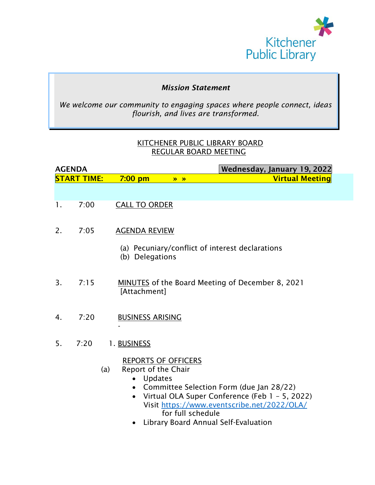

### *Mission Statement*

*We welcome our community to engaging spaces where people connect, ideas flourish, and lives are transformed.*

#### KITCHENER PUBLIC LIBRARY BOARD REGULAR BOARD MEETING

| <b>AGENDA</b> |                          | Wednesday, January 19, 2022                                                                                                                                                                                                                                                                                    |
|---------------|--------------------------|----------------------------------------------------------------------------------------------------------------------------------------------------------------------------------------------------------------------------------------------------------------------------------------------------------------|
|               | <mark>START TIME:</mark> | <b>Virtual Meeting</b><br>$7:00$ pm<br>$\lambda$                                                                                                                                                                                                                                                               |
|               |                          |                                                                                                                                                                                                                                                                                                                |
| 1.            | 7:00                     | <b>CALL TO ORDER</b>                                                                                                                                                                                                                                                                                           |
| 2.            | 7:05                     | <b>AGENDA REVIEW</b>                                                                                                                                                                                                                                                                                           |
|               |                          | (a) Pecuniary/conflict of interest declarations<br>(b) Delegations                                                                                                                                                                                                                                             |
| 3.            | 7:15                     | <b>MINUTES</b> of the Board Meeting of December 8, 2021<br>[Attachment]                                                                                                                                                                                                                                        |
| 4.            | 7:20                     | <b>BUSINESS ARISING</b>                                                                                                                                                                                                                                                                                        |
| 5.            | 7:20                     | 1. BUSINESS                                                                                                                                                                                                                                                                                                    |
|               |                          | <b>REPORTS OF OFFICERS</b><br>Report of the Chair<br>(a)<br><b>Updates</b><br>$\bullet$<br>Committee Selection Form (due Jan 28/22)<br>Virtual OLA Super Conference (Feb 1 - 5, 2022)<br>Visit https://www.eventscribe.net/2022/OLA/<br>for full schedule<br>Library Board Annual Self-Evaluation<br>$\bullet$ |